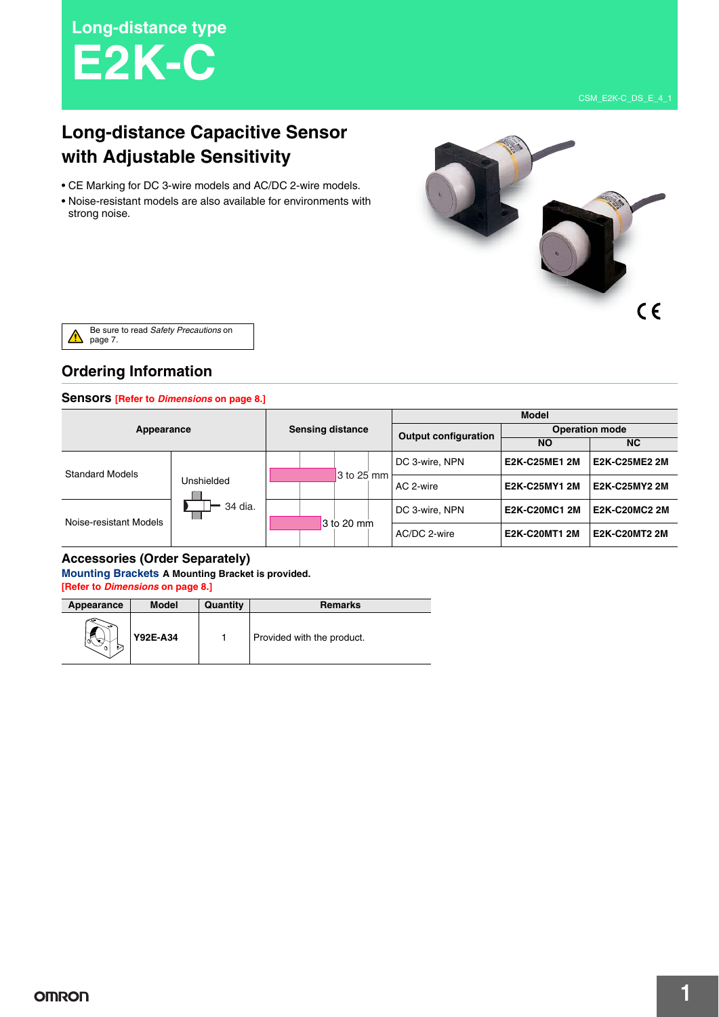**Long-distance type E2K-C**

# **Long-distance Capacitive Sensor with Adjustable Sensitivity**

- CE Marking for DC 3-wire models and AC/DC 2-wire models.
- Noise-resistant models are also available for environments with strong noise.



Be sure to read Safety Precautions on  $\Delta$ page 7.

# **Ordering Information**

#### **Sensors [Refer to** *Dimensions* **on page 8.]**

| Appearance             |                                       |                         |              |                             |                       | <b>Model</b>         |                      |
|------------------------|---------------------------------------|-------------------------|--------------|-----------------------------|-----------------------|----------------------|----------------------|
|                        |                                       | <b>Sensing distance</b> |              | <b>Output configuration</b> | <b>Operation mode</b> |                      |                      |
|                        |                                       |                         |              |                             |                       | <b>NO</b>            | <b>NC</b>            |
| <b>Standard Models</b> |                                       |                         |              |                             | DC 3-wire, NPN        | <b>E2K-C25ME1 2M</b> | <b>E2K-C25ME2 2M</b> |
|                        | Unshielded<br>34 dia.<br><b>Willi</b> |                         | $3$ to 25 mm |                             | AC 2-wire             | E2K-C25MY1 2M        | E2K-C25MY2 2M        |
| Noise-resistant Models |                                       |                         |              |                             | DC 3-wire, NPN        | <b>E2K-C20MC1 2M</b> | <b>E2K-C20MC2 2M</b> |
|                        |                                       |                         | 3 to 20 mm   |                             | AC/DC 2-wire          | <b>E2K-C20MT1 2M</b> | <b>E2K-C20MT2 2M</b> |

#### **Accessories (Order Separately)**

**Mounting Brackets A Mounting Bracket is provided. [Refer to** *Dimensions* **on page 8.]**

| Appearance | <b>Model</b> | Quantity | <b>Remarks</b>             |
|------------|--------------|----------|----------------------------|
|            | Y92E-A34     |          | Provided with the product. |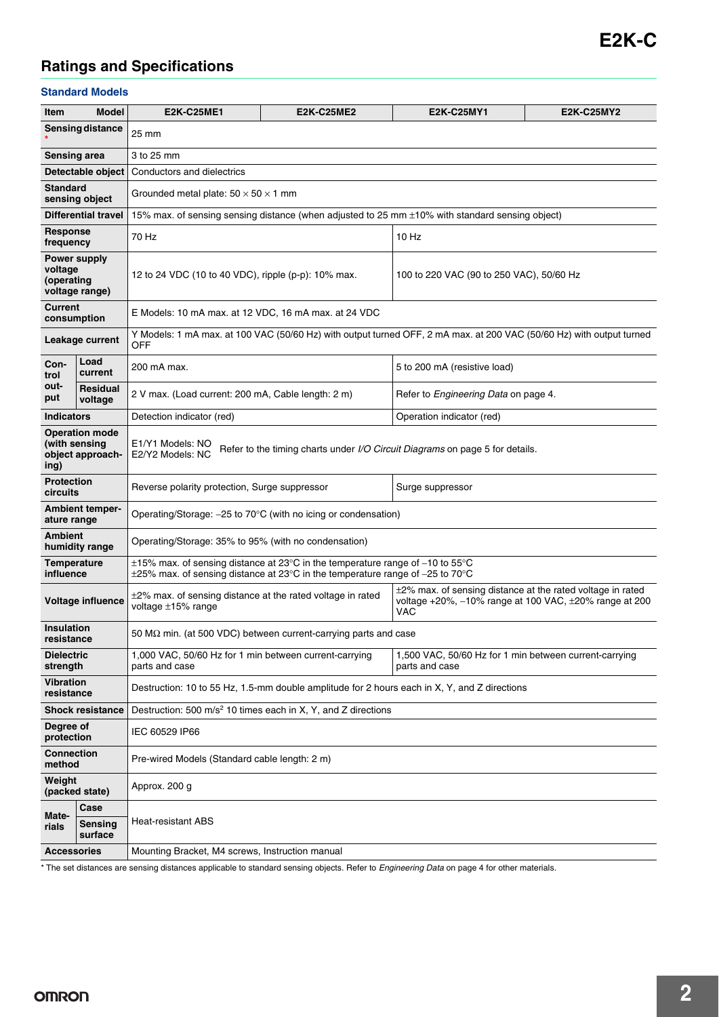# **Ratings and Specifications**

#### **Standard Models**

| Item                            | <b>Model</b>                                               | <b>E2K-C25ME1</b>                                                                                                           | <b>E2K-C25ME2</b>                                                                                                                                                        | <b>E2K-C25MY1</b>                                                                                                                | <b>E2K-C25MY2</b> |  |  |  |
|---------------------------------|------------------------------------------------------------|-----------------------------------------------------------------------------------------------------------------------------|--------------------------------------------------------------------------------------------------------------------------------------------------------------------------|----------------------------------------------------------------------------------------------------------------------------------|-------------------|--|--|--|
|                                 | Sensing distance                                           | 25 mm                                                                                                                       |                                                                                                                                                                          |                                                                                                                                  |                   |  |  |  |
|                                 | <b>Sensing area</b>                                        | 3 to 25 mm                                                                                                                  |                                                                                                                                                                          |                                                                                                                                  |                   |  |  |  |
|                                 | Detectable object                                          | Conductors and dielectrics                                                                                                  |                                                                                                                                                                          |                                                                                                                                  |                   |  |  |  |
| <b>Standard</b>                 | sensing object                                             | Grounded metal plate: $50 \times 50 \times 1$ mm                                                                            |                                                                                                                                                                          |                                                                                                                                  |                   |  |  |  |
|                                 | <b>Differential travel</b>                                 | 15% max. of sensing sensing distance (when adjusted to 25 mm ±10% with standard sensing object)                             |                                                                                                                                                                          |                                                                                                                                  |                   |  |  |  |
| Response<br>frequency           |                                                            | 70 Hz<br>$10$ Hz                                                                                                            |                                                                                                                                                                          |                                                                                                                                  |                   |  |  |  |
| voltage<br>(operating           | Power supply<br>voltage range)                             | 12 to 24 VDC (10 to 40 VDC), ripple (p-p): 10% max.<br>100 to 220 VAC (90 to 250 VAC), 50/60 Hz                             |                                                                                                                                                                          |                                                                                                                                  |                   |  |  |  |
| <b>Current</b>                  | consumption                                                | E Models: 10 mA max. at 12 VDC, 16 mA max. at 24 VDC                                                                        |                                                                                                                                                                          |                                                                                                                                  |                   |  |  |  |
|                                 | Leakage current                                            | OFF                                                                                                                         |                                                                                                                                                                          | Y Models: 1 mA max. at 100 VAC (50/60 Hz) with output turned OFF, 2 mA max. at 200 VAC (50/60 Hz) with output turned             |                   |  |  |  |
| Con-<br>trol                    | Load<br>current                                            | 200 mA max.                                                                                                                 |                                                                                                                                                                          | 5 to 200 mA (resistive load)                                                                                                     |                   |  |  |  |
| out-<br>put                     | <b>Residual</b><br>voltage                                 | 2 V max. (Load current: 200 mA, Cable length: 2 m)<br>Refer to Engineering Data on page 4.                                  |                                                                                                                                                                          |                                                                                                                                  |                   |  |  |  |
| <b>Indicators</b>               |                                                            | Detection indicator (red)<br>Operation indicator (red)                                                                      |                                                                                                                                                                          |                                                                                                                                  |                   |  |  |  |
| ing)                            | <b>Operation mode</b><br>(with sensing<br>object approach- | E1/Y1 Models: NO<br>Refer to the timing charts under <i>I/O Circuit Diagrams</i> on page 5 for details.<br>E2/Y2 Models: NC |                                                                                                                                                                          |                                                                                                                                  |                   |  |  |  |
| <b>Protection</b><br>circuits   |                                                            | Reverse polarity protection, Surge suppressor<br>Surge suppressor                                                           |                                                                                                                                                                          |                                                                                                                                  |                   |  |  |  |
| ature range                     | <b>Ambient temper-</b>                                     |                                                                                                                             | Operating/Storage: $-25$ to 70 $\degree$ C (with no icing or condensation)                                                                                               |                                                                                                                                  |                   |  |  |  |
| <b>Ambient</b>                  | humidity range                                             | Operating/Storage: 35% to 95% (with no condensation)                                                                        |                                                                                                                                                                          |                                                                                                                                  |                   |  |  |  |
| <b>Temperature</b><br>influence |                                                            |                                                                                                                             | $\pm$ 15% max. of sensing distance at 23°C in the temperature range of -10 to 55°C<br>$\pm$ 25% max. of sensing distance at 23°C in the temperature range of -25 to 70°C |                                                                                                                                  |                   |  |  |  |
|                                 | Voltage influence                                          | $\pm$ 2% max. of sensing distance at the rated voltage in rated<br>voltage ±15% range                                       |                                                                                                                                                                          | $\pm$ 2% max. of sensing distance at the rated voltage in rated<br>voltage +20%, -10% range at 100 VAC, ±20% range at 200<br>VAC |                   |  |  |  |
| <b>Insulation</b><br>resistance |                                                            |                                                                                                                             | 50 M $\Omega$ min. (at 500 VDC) between current-carrying parts and case                                                                                                  |                                                                                                                                  |                   |  |  |  |
| <b>Dielectric</b><br>strength   |                                                            | 1,000 VAC, 50/60 Hz for 1 min between current-carrying<br>parts and case                                                    |                                                                                                                                                                          | 1,500 VAC, 50/60 Hz for 1 min between current-carrying<br>parts and case                                                         |                   |  |  |  |
| Vibration<br>resistance         |                                                            | Destruction: 10 to 55 Hz, 1.5-mm double amplitude for 2 hours each in X, Y, and Z directions                                |                                                                                                                                                                          |                                                                                                                                  |                   |  |  |  |
|                                 | <b>Shock resistance</b>                                    | Destruction: 500 m/s <sup>2</sup> 10 times each in X, Y, and Z directions                                                   |                                                                                                                                                                          |                                                                                                                                  |                   |  |  |  |
| Dearee of<br>protection         |                                                            | IEC 60529 IP66                                                                                                              |                                                                                                                                                                          |                                                                                                                                  |                   |  |  |  |
| <b>Connection</b><br>method     |                                                            | Pre-wired Models (Standard cable length: 2 m)                                                                               |                                                                                                                                                                          |                                                                                                                                  |                   |  |  |  |
| Weight                          | (packed state)                                             | Approx. 200 g                                                                                                               |                                                                                                                                                                          |                                                                                                                                  |                   |  |  |  |
| Mate-                           | Case                                                       |                                                                                                                             |                                                                                                                                                                          |                                                                                                                                  |                   |  |  |  |
| rials                           | Sensing<br>surface                                         | Heat-resistant ABS                                                                                                          |                                                                                                                                                                          |                                                                                                                                  |                   |  |  |  |
| <b>Accessories</b>              |                                                            | Mounting Bracket, M4 screws, Instruction manual                                                                             |                                                                                                                                                                          |                                                                                                                                  |                   |  |  |  |

\* The set distances are sensing distances applicable to standard sensing objects. Refer to Engineering Data on page 4 for other materials.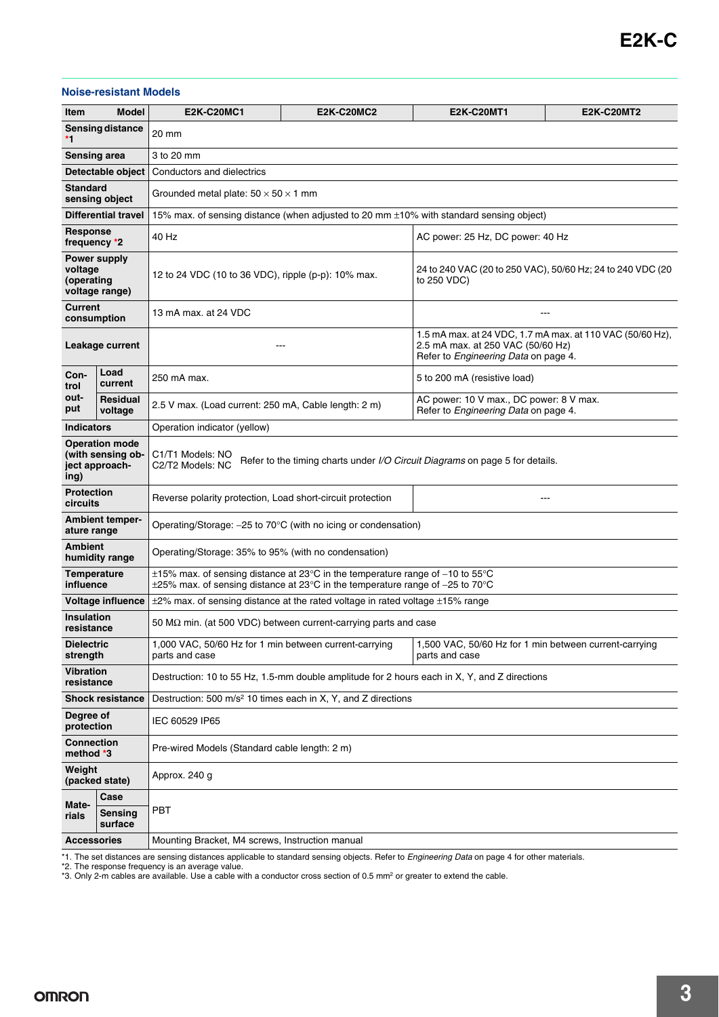#### **Noise-resistant Models**

| Item                                                                                                 | <b>Model</b>                                                 | <b>E2K-C20MC1</b>                                                                                                                                                        | <b>E2K-C20MC2</b>                                                             | <b>E2K-C20MT1</b>                                                                                                                      | <b>E2K-C20MT2</b> |  |  |  |
|------------------------------------------------------------------------------------------------------|--------------------------------------------------------------|--------------------------------------------------------------------------------------------------------------------------------------------------------------------------|-------------------------------------------------------------------------------|----------------------------------------------------------------------------------------------------------------------------------------|-------------------|--|--|--|
|                                                                                                      | Sensing distance                                             |                                                                                                                                                                          |                                                                               |                                                                                                                                        |                   |  |  |  |
| *1                                                                                                   |                                                              | 20 mm                                                                                                                                                                    |                                                                               |                                                                                                                                        |                   |  |  |  |
| <b>Sensing area</b>                                                                                  |                                                              | 3 to 20 mm                                                                                                                                                               |                                                                               |                                                                                                                                        |                   |  |  |  |
|                                                                                                      | Detectable object                                            | Conductors and dielectrics                                                                                                                                               |                                                                               |                                                                                                                                        |                   |  |  |  |
| <b>Standard</b>                                                                                      | sensing object                                               | Grounded metal plate: $50 \times 50 \times 1$ mm                                                                                                                         |                                                                               |                                                                                                                                        |                   |  |  |  |
|                                                                                                      | <b>Differential travel</b>                                   | 15% max. of sensing distance (when adjusted to 20 mm ±10% with standard sensing object)                                                                                  |                                                                               |                                                                                                                                        |                   |  |  |  |
| <b>Response</b><br>frequency *2                                                                      |                                                              | 40 Hz<br>AC power: 25 Hz, DC power: 40 Hz                                                                                                                                |                                                                               |                                                                                                                                        |                   |  |  |  |
| Power supply<br>voltage<br>(operating<br>voltage range)                                              |                                                              | 12 to 24 VDC (10 to 36 VDC), ripple (p-p): 10% max.                                                                                                                      |                                                                               | 24 to 240 VAC (20 to 250 VAC), 50/60 Hz; 24 to 240 VDC (20<br>to 250 VDC)                                                              |                   |  |  |  |
| Current<br>consumption                                                                               |                                                              | 13 mA max. at 24 VDC                                                                                                                                                     |                                                                               | ---                                                                                                                                    |                   |  |  |  |
| Leakage current                                                                                      |                                                              | ---                                                                                                                                                                      |                                                                               | 1.5 mA max. at 24 VDC, 1.7 mA max. at 110 VAC (50/60 Hz),<br>2.5 mA max. at 250 VAC (50/60 Hz)<br>Refer to Engineering Data on page 4. |                   |  |  |  |
| Con-<br>trol                                                                                         | Load<br>current                                              | 250 mA max.                                                                                                                                                              |                                                                               | 5 to 200 mA (resistive load)                                                                                                           |                   |  |  |  |
| out-<br>put                                                                                          | Residual<br>voltage                                          | 2.5 V max. (Load current: 250 mA, Cable length: 2 m)                                                                                                                     |                                                                               | AC power: 10 V max., DC power: 8 V max.<br>Refer to Engineering Data on page 4.                                                        |                   |  |  |  |
| <b>Indicators</b>                                                                                    |                                                              | Operation indicator (yellow)                                                                                                                                             |                                                                               |                                                                                                                                        |                   |  |  |  |
| ing)                                                                                                 | <b>Operation mode</b><br>(with sensing ob-<br>ject approach- | C1/T1 Models: NO<br>Refer to the timing charts under I/O Circuit Diagrams on page 5 for details.<br>C2/T2 Models: NC                                                     |                                                                               |                                                                                                                                        |                   |  |  |  |
| <b>Protection</b><br>circuits                                                                        |                                                              | Reverse polarity protection, Load short-circuit protection                                                                                                               |                                                                               |                                                                                                                                        |                   |  |  |  |
| ature range                                                                                          | <b>Ambient temper-</b>                                       |                                                                                                                                                                          | Operating/Storage: -25 to 70°C (with no icing or condensation)                |                                                                                                                                        |                   |  |  |  |
| <b>Ambient</b>                                                                                       | humidity range                                               | Operating/Storage: 35% to 95% (with no condensation)                                                                                                                     |                                                                               |                                                                                                                                        |                   |  |  |  |
| <b>Temperature</b><br>influence                                                                      |                                                              | $\pm$ 15% max. of sensing distance at 23°C in the temperature range of -10 to 55°C<br>$\pm$ 25% max. of sensing distance at 23°C in the temperature range of -25 to 70°C |                                                                               |                                                                                                                                        |                   |  |  |  |
|                                                                                                      | <b>Voltage influence</b>                                     | $\pm$ 2% max. of sensing distance at the rated voltage in rated voltage $\pm$ 15% range                                                                                  |                                                                               |                                                                                                                                        |                   |  |  |  |
| <b>Insulation</b><br>resistance                                                                      |                                                              |                                                                                                                                                                          | 50 $\text{M}\Omega$ min. (at 500 VDC) between current-carrying parts and case |                                                                                                                                        |                   |  |  |  |
| <b>Dielectric</b><br>strength                                                                        |                                                              | 1,000 VAC, 50/60 Hz for 1 min between current-carrying<br>parts and case                                                                                                 |                                                                               | 1,500 VAC, 50/60 Hz for 1 min between current-carrying<br>parts and case                                                               |                   |  |  |  |
| <b>Vibration</b><br>resistance                                                                       |                                                              |                                                                                                                                                                          |                                                                               | Destruction: 10 to 55 Hz, 1.5-mm double amplitude for 2 hours each in X, Y, and Z directions                                           |                   |  |  |  |
| Destruction: 500 m/s <sup>2</sup> 10 times each in X, Y, and Z directions<br><b>Shock resistance</b> |                                                              |                                                                                                                                                                          |                                                                               |                                                                                                                                        |                   |  |  |  |
| Degree of<br>protection                                                                              |                                                              | IEC 60529 IP65                                                                                                                                                           |                                                                               |                                                                                                                                        |                   |  |  |  |
| <b>Connection</b><br>Pre-wired Models (Standard cable length: 2 m)<br>method *3                      |                                                              |                                                                                                                                                                          |                                                                               |                                                                                                                                        |                   |  |  |  |
| Weight                                                                                               | (packed state)                                               | Approx. 240 g                                                                                                                                                            |                                                                               |                                                                                                                                        |                   |  |  |  |
|                                                                                                      | Case                                                         |                                                                                                                                                                          |                                                                               |                                                                                                                                        |                   |  |  |  |
| Mate-<br>rials                                                                                       | <b>Sensing</b><br>surface                                    | <b>PBT</b>                                                                                                                                                               |                                                                               |                                                                                                                                        |                   |  |  |  |
| <b>Accessories</b>                                                                                   |                                                              | Mounting Bracket, M4 screws, Instruction manual                                                                                                                          |                                                                               |                                                                                                                                        |                   |  |  |  |

\*1. The set distances are sensing distances applicable to standard sensing objects. Refer to *Engineering Data* on page 4 for other materials.<br>\*2. The response frequency is an average value.<br>\*3. Only 2-m cables are availab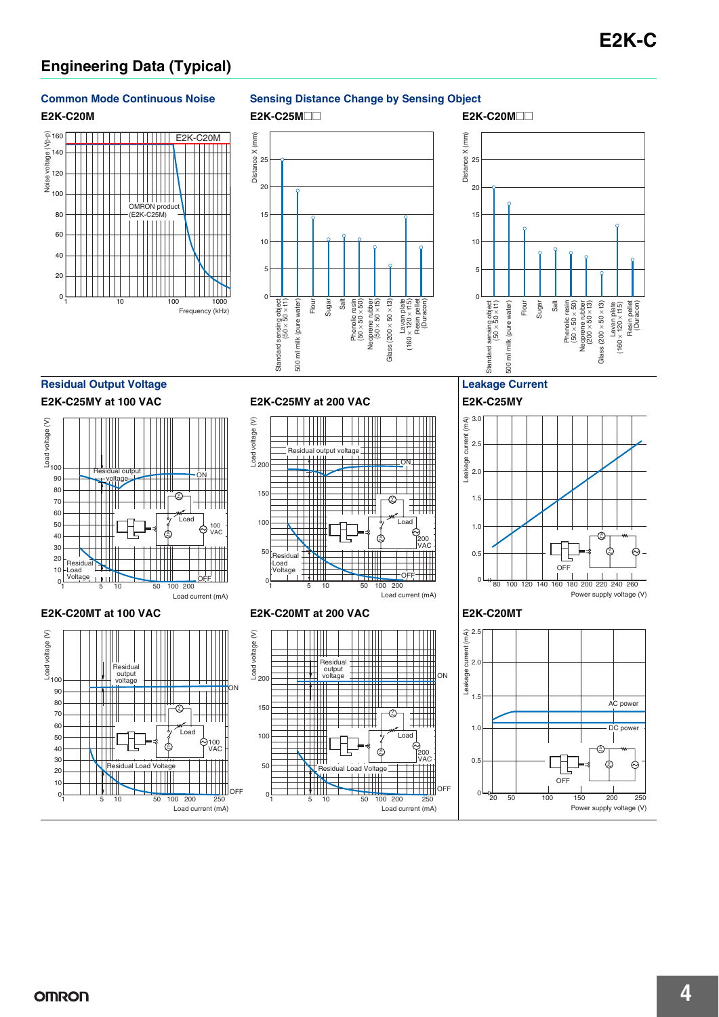# **Engineering Data (Typical)**

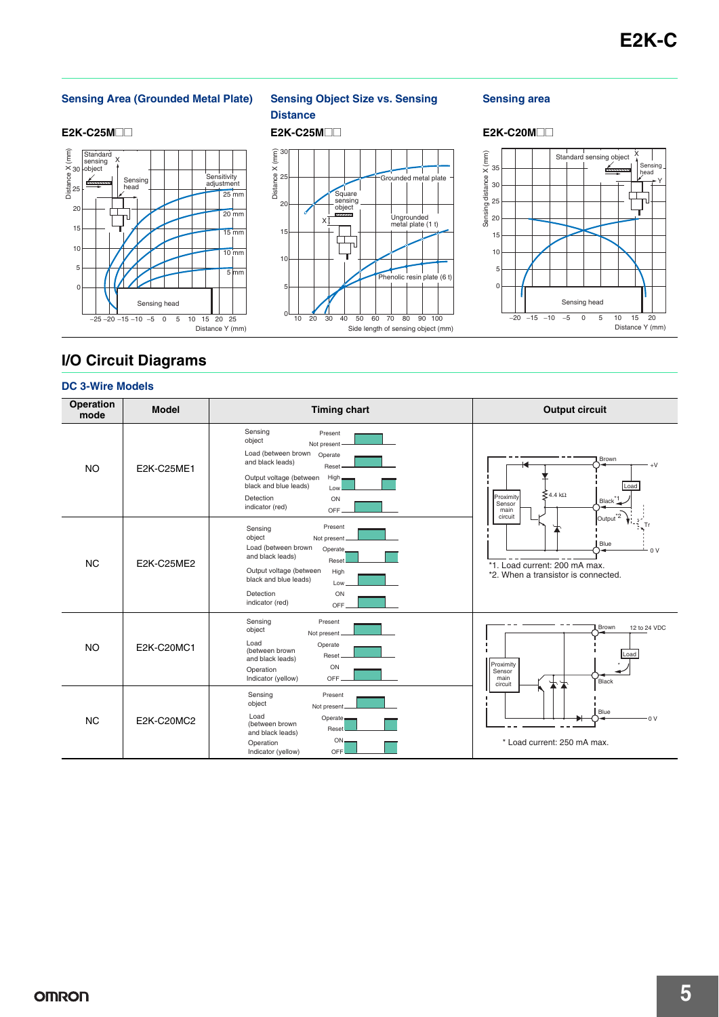#### **Sensing Area (Grounded Metal Plate) Sensing Object Size vs. Sensing**



# **Distance**

Square sensing object

ᇺ

J

X

 $0 \frac{1}{10} \frac{1}{20}$ 

5

10

15

20

25

Distance X (mm)

30

#### **Sensing area**



# **I/O Circuit Diagrams**

#### **DC 3-Wire Models**

| Operation<br>mode | <b>Model</b> | <b>Timing chart</b>                                                                                                                                                                                                            | <b>Output circuit</b>                                                                                                                |  |
|-------------------|--------------|--------------------------------------------------------------------------------------------------------------------------------------------------------------------------------------------------------------------------------|--------------------------------------------------------------------------------------------------------------------------------------|--|
| <b>NO</b>         | E2K-C25ME1   | Sensing<br>Present<br>object<br>Not present<br>Load (between brown<br>Operate<br>and black leads)<br>Reset<br>High,<br>Output voltage (between<br>black and blue leads)<br>Low<br>Detection<br>ON<br>indicator (red)<br>OFF.   | Brown<br>Load<br>$\mathsf{\leq}$ 4.4 k $\Omega$<br>Proximity<br>Black <sup>*1</sup><br>Sensor<br>main                                |  |
| <b>NC</b>         | E2K-C25ME2   | Present<br>Sensing<br>object<br>Not present.<br>Load (between brown<br>Operate.<br>and black leads)<br>Reset<br>Output voltage (between<br>High<br>black and blue leads)<br>Low.<br>Detection<br>ON<br>indicator (red)<br>OFF. | $\text{Output}^*$<br>circuit<br>Tr<br>Blue<br>0 <sup>V</sup><br>*1. Load current: 200 mA max.<br>*2. When a transistor is connected. |  |
| <b>NO</b>         | E2K-C20MC1   | Sensing<br>Present<br>object<br>Not present<br>Load<br>Operate<br>(between brown<br>Reset<br>and black leads)<br>ON<br>Operation<br>Indicator (yellow)<br>OFF.                                                                 | Brown<br>12 to 24 VDC<br>Load<br>Proximity<br>Sensor<br>main<br>Black<br>circuit                                                     |  |
| <b>NC</b>         | E2K-C20MC2   | Sensing<br>Present<br>object<br>Not present<br>Load<br>Operate-<br>(between brown<br>Reset<br>and black leads)<br>$ON-$<br>Operation<br>Indicator (yellow)<br>OFF.                                                             | Blue<br>0 V<br>* Load current: 250 mA max.                                                                                           |  |

30 40 50 60 70 80 90 100 Side length of sensing object (mm)

Grounded metal pla

Ungrounded metal plate (1 t)

Phenolic resin plate (6 t)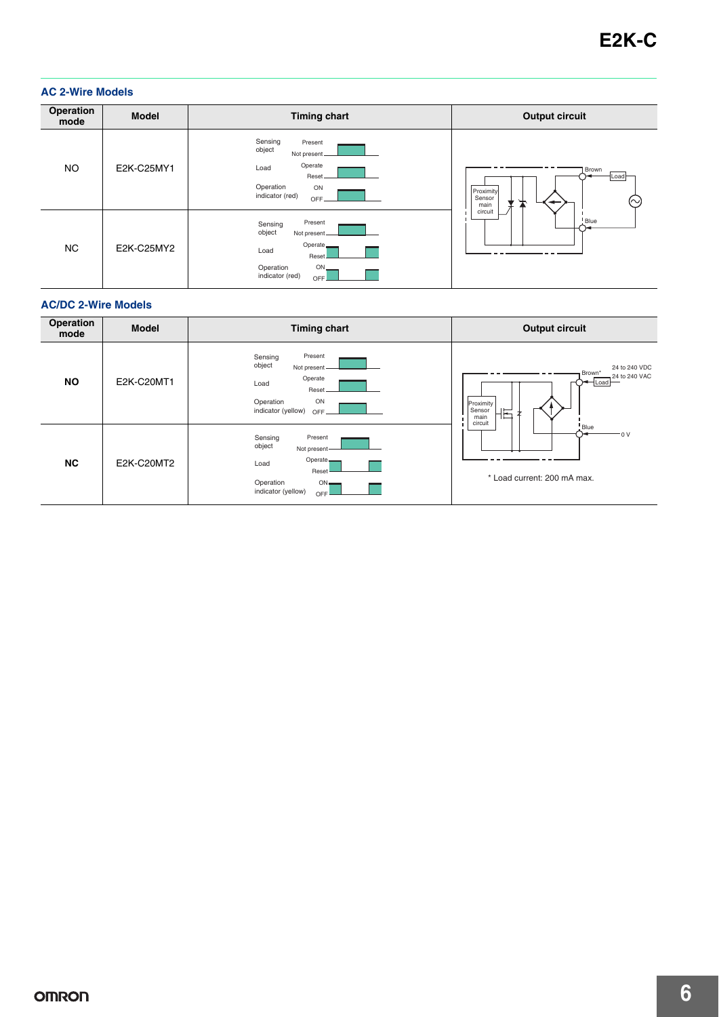#### **AC 2-Wire Models**

| Operation<br>mode | <b>Model</b> | <b>Timing chart</b>                                                                                                         | <b>Output circuit</b>                                          |
|-------------------|--------------|-----------------------------------------------------------------------------------------------------------------------------|----------------------------------------------------------------|
| <b>NO</b>         | E2K-C25MY1   | Sensing<br>Present<br>object<br>Not present.<br>Operate<br>Load<br>Reset.<br>Operation<br>ON<br>indicator (red)<br>OFF.     | Brown<br>Load<br>Proximity<br>Sensor<br>(∼)<br>main<br>circuit |
| <b>NC</b>         | E2K-C25MY2   | Present<br>Sensing<br>object<br>Not present.<br>Operate<br>Load<br>Reset<br>Operation<br>$ON_{-}$<br>indicator (red)<br>OFF | Blue                                                           |

#### **AC/DC 2-Wire Models**

| Operation<br>mode | <b>Model</b> | <b>Timing chart</b>                                                                                                       | <b>Output circuit</b>                                                                                              |
|-------------------|--------------|---------------------------------------------------------------------------------------------------------------------------|--------------------------------------------------------------------------------------------------------------------|
| <b>NO</b>         | E2K-C20MT1   | Present<br>Sensing<br>object<br>Not present<br>Operate<br>Load<br>Reset<br>ON<br>Operation<br>indicator (yellow)<br>OFF.  | 24 to 240 VDC<br>Brown <sup>*</sup><br>24 to 240 VAC<br>Load<br>-<br>Proximity<br>I Sensor<br>E<br>main<br>circuit |
| <b>NC</b>         | E2K-C20MT2   | Sensing<br>Present<br>object<br>Not present-<br>Operate-<br>Load<br>Reset<br>Operation<br>ON<br>indicator (yellow)<br>OFF | Blue<br>$-0V$<br>* Load current: 200 mA max.                                                                       |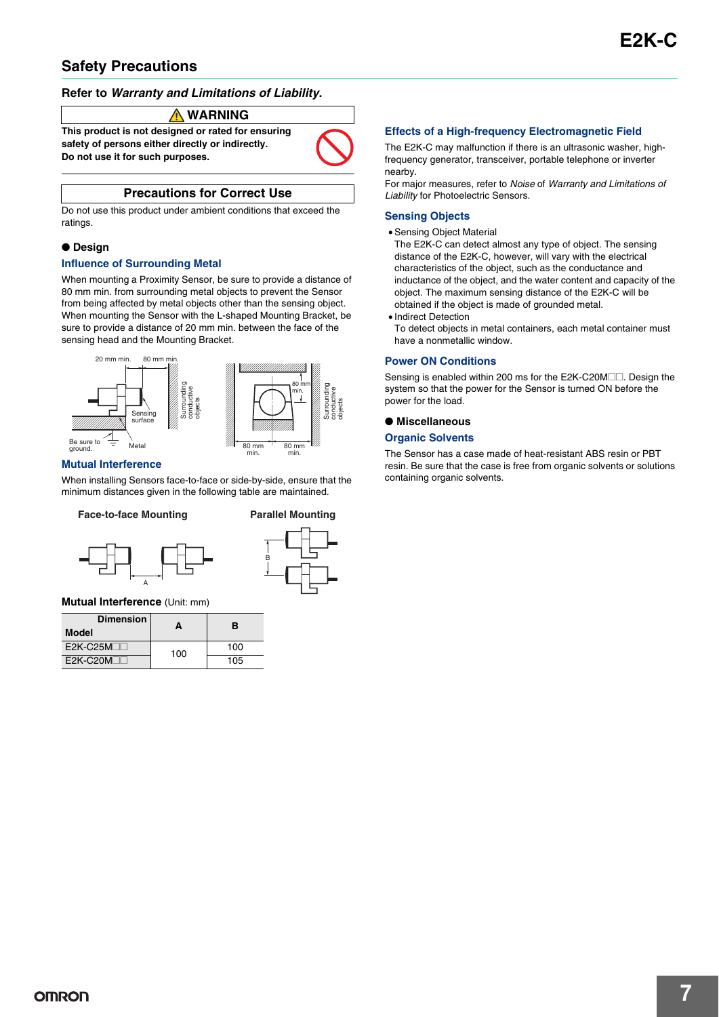## **Safety Precautions**

#### **Refer to** *Warranty and Limitations of Liability***.**

#### **WARNING**

**This product is not designed or rated for ensuring safety of persons either directly or indirectly. Do not use it for such purposes.**



#### **Precautions for Correct Use**

Do not use this product under ambient conditions that exceed the ratings.

#### ● **Design**

#### **Influence of Surrounding Metal**

When mounting a Proximity Sensor, be sure to provide a distance of 80 mm min. from surrounding metal objects to prevent the Sensor from being affected by metal objects other than the sensing object. When mounting the Sensor with the L-shaped Mounting Bracket, be sure to provide a distance of 20 mm min. between the face of the sensing head and the Mounting Bracket.



#### **Mutual Interference**

When installing Sensors face-to-face or side-by-side, ensure that the minimum distances given in the following table are maintained.

#### **Face-to-face Mounting Parallel Mounting**

Surrounding conductive objects





#### **Mutual Interference** (Unit: mm)

| <b>Dimension</b><br><b>Model</b> | А   | в   |
|----------------------------------|-----|-----|
| $E2K-C25M$                       | 100 | 100 |
| $F2K-C20M$                       |     | 105 |

#### **Effects of a High-frequency Electromagnetic Field**

The E2K-C may malfunction if there is an ultrasonic washer, highfrequency generator, transceiver, portable telephone or inverter nearby.

For major measures, refer to Noise of Warranty and Limitations of Liability for Photoelectric Sensors.

#### **Sensing Objects**

#### • Sensing Object Material

The E2K-C can detect almost any type of object. The sensing distance of the E2K-C, however, will vary with the electrical characteristics of the object, such as the conductance and inductance of the object, and the water content and capacity of the object. The maximum sensing distance of the E2K-C will be obtained if the object is made of grounded metal.

• Indirect Detection

To detect objects in metal containers, each metal container must have a nonmetallic window.

#### **Power ON Conditions**

Sensing is enabled within 200 ms for the E2K-C20M $\Box$  Design the system so that the power for the Sensor is turned ON before the power for the load.

#### ● **Miscellaneous**

#### **Organic Solvents**

The Sensor has a case made of heat-resistant ABS resin or PBT resin. Be sure that the case is free from organic solvents or solutions containing organic solvents.